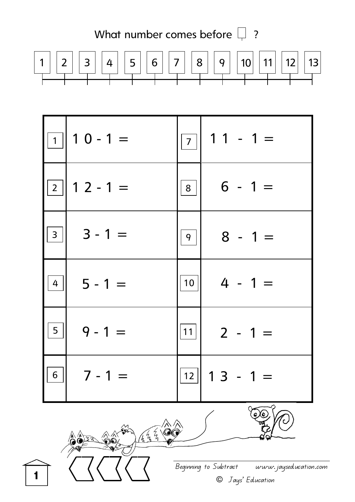



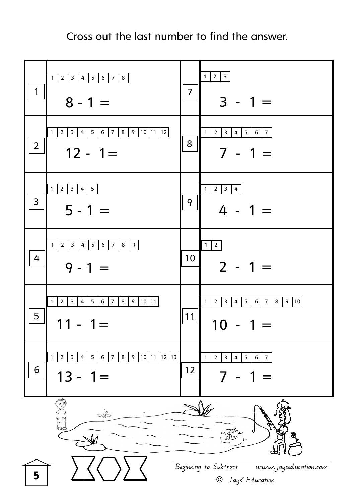Cross out the last number to find the answer.

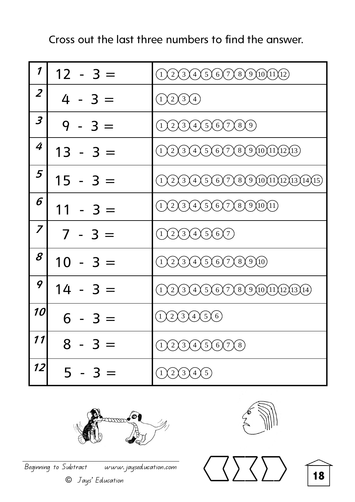| 1                | $12 - 3 =$ | (3)(4)(5)(6)(7)(8)(9)(10)(11)(12)<br>$\left( 2\right)$<br>$\mathbf{1}$                                                                    |
|------------------|------------|-------------------------------------------------------------------------------------------------------------------------------------------|
| $\overline{2}$   | $4 - 3 =$  | $\chi_2(\frac{3}{4})$<br>$\mathbf{1}$                                                                                                     |
| 3                | $9 - 3 =$  | (2)(3)(4)(5)(6)(7)(8)(9)                                                                                                                  |
| 4                | $13 - 3 =$ | $\chi$ 2 $\chi$ 3 $\chi$ 4 $\chi$ 5 $\chi$ 6 $\chi$ 7 $\chi$ 8 $\chi$ 9 $\chi$ 10 $\chi$ 11 $\chi$ 12 $\chi$ 13 $\rangle$<br>$\mathbf{1}$ |
| 5                | $15 - 3 =$ | $(4)(5)(6)(7)(8)(9)(10)(11)(12)(13)(14)(15)$<br>$\binom{3}{}$<br>$\left(2\right)$                                                         |
| 6                | $11 - 3 =$ | $\chi$ 4 $\chi$ 5 $\chi$ 6 $\chi$ 7 $\chi$ 8 $\chi$ 9 $\chi$ 10 $\chi$ 11)<br>$\left(3\right)$<br>$(\,2\,)$                               |
| $\boldsymbol{z}$ | $7 - 3 =$  | (3)(4)(5)(6)(7)<br>$\left( 2\right)$                                                                                                      |
| 8                | $10 - 3 =$ | $(4 \bigtimes 5 \bigtimes 6 \bigtimes 7 \bigtimes 8 \bigtimes 9 \bigtimes 10)$<br>$(2)$ 3                                                 |
| 9                | $14 - 3 =$ | $(2)(3)(4)(5)(6)(7)(8)(9)(10)(11)(12)(13)(14)$                                                                                            |
| 10               | $6 - 3 =$  | (3)(4)(5)(6)<br>2)                                                                                                                        |
| 11               | $8 - 3 =$  | (1)(2)(3)(4)(5)(6)(7)(8)                                                                                                                  |
| 12               | $5 - 3 =$  | (1)(2)(3)(4)(5)                                                                                                                           |

Cross out the last three numbers to find the answer.







**18**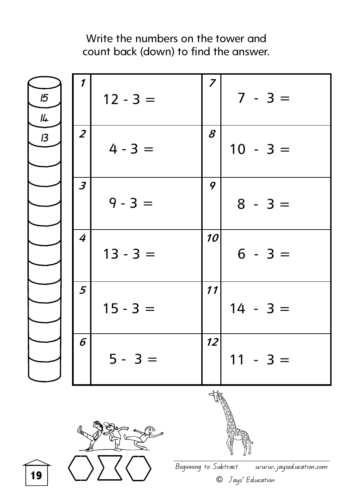

Beginning to Subtract www.jayseducation.com

© Jays' Education

**19**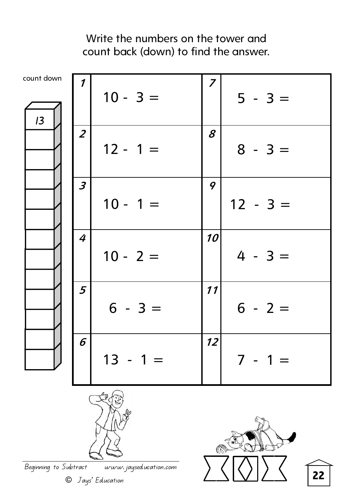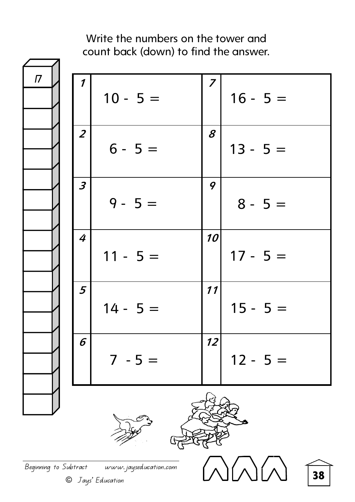![](_page_5_Figure_1.jpeg)